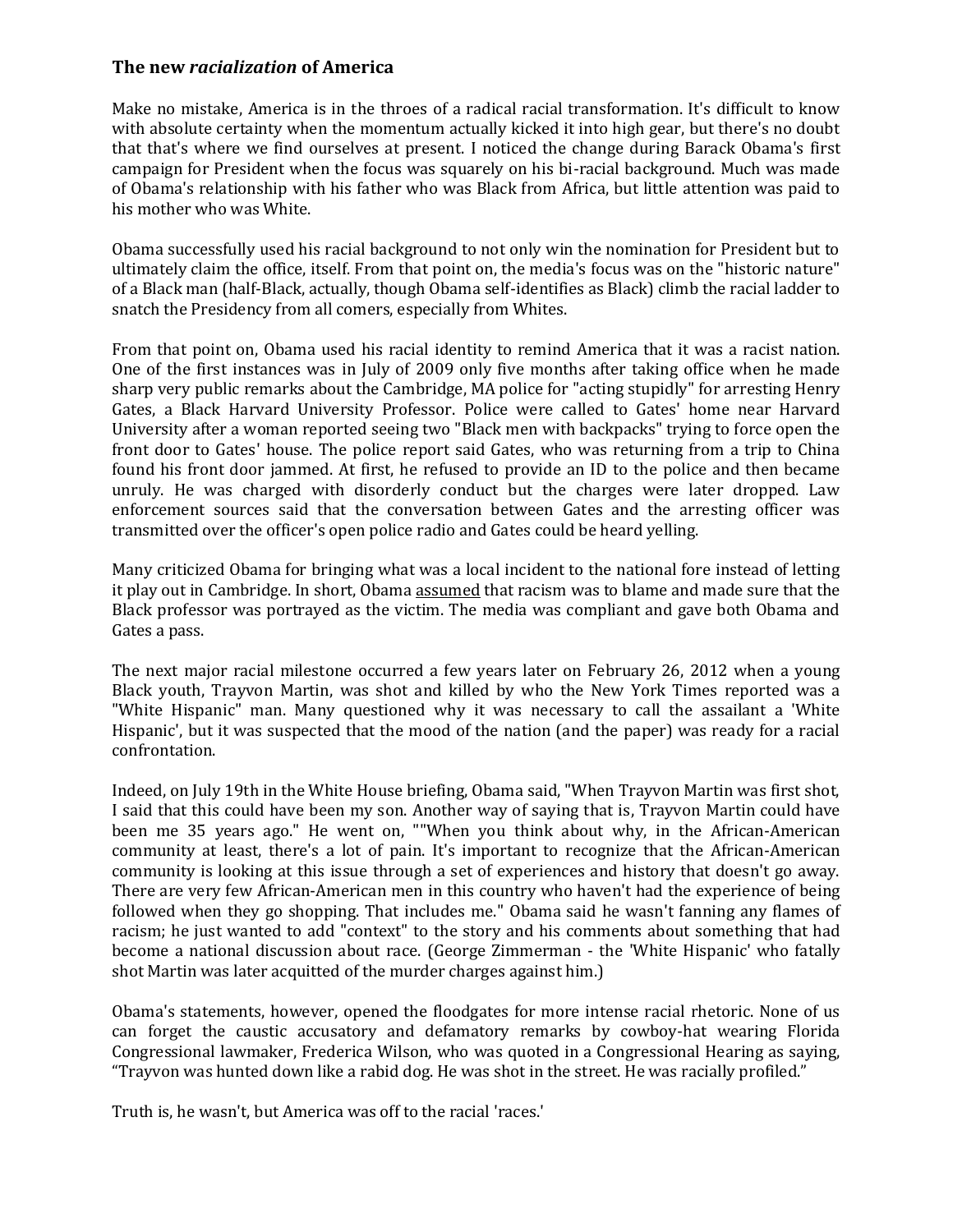## **The new** *racialization* **of America**

Make no mistake, America is in the throes of a radical racial transformation. It's difficult to know with absolute certainty when the momentum actually kicked it into high gear, but there's no doubt that that's where we find ourselves at present. I noticed the change during Barack Obama's first campaign for President when the focus was squarely on his bi-racial background. Much was made of Obama's relationship with his father who was Black from Africa, but little attention was paid to his mother who was White.

Obama successfully used his racial background to not only win the nomination for President but to ultimately claim the office, itself. From that point on, the media's focus was on the "historic nature" of a Black man (half-Black, actually, though Obama self-identifies as Black) climb the racial ladder to snatch the Presidency from all comers, especially from Whites.

From that point on, Obama used his racial identity to remind America that it was a racist nation. One of the first instances was in July of 2009 only five months after taking office when he made sharp very public remarks about the Cambridge, MA police for "acting stupidly" for arresting Henry Gates, a Black Harvard University Professor. Police were called to Gates' home near Harvard University after a woman reported seeing two "Black men with backpacks" trying to force open the front door to Gates' house. The police report said Gates, who was returning from a trip to China found his front door jammed. At first, he refused to provide an ID to the police and then became unruly. He was charged with disorderly conduct but the charges were later dropped. Law enforcement sources said that the conversation between Gates and the arresting officer was transmitted over the officer's open police radio and Gates could be heard yelling.

Many criticized Obama for bringing what was a local incident to the national fore instead of letting it play out in Cambridge. In short, Obama assumed that racism was to blame and made sure that the Black professor was portrayed as the victim. The media was compliant and gave both Obama and Gates a pass.

The next major racial milestone occurred a few years later on February 26, 2012 when a young Black youth, Trayvon Martin, was shot and killed by who the New York Times reported was a "White Hispanic" man. Many questioned why it was necessary to call the assailant a 'White Hispanic', but it was suspected that the mood of the nation (and the paper) was ready for a racial confrontation.

Indeed, on July 19th in the White House briefing, Obama said, "When Trayvon Martin was first shot, I said that this could have been my son. Another way of saying that is, Trayvon Martin could have been me 35 years ago." He went on, ""When you think about why, in the African-American community at least, there's a lot of pain. It's important to recognize that the African-American community is looking at this issue through a set of experiences and history that doesn't go away. There are very few African-American men in this country who haven't had the experience of being followed when they go shopping. That includes me." Obama said he wasn't fanning any flames of racism; he just wanted to add "context" to the story and his comments about something that had become a national discussion about race. (George Zimmerman - the 'White Hispanic' who fatally shot Martin was later acquitted of the murder charges against him.)

Obama's statements, however, opened the floodgates for more intense racial rhetoric. None of us can forget the caustic accusatory and defamatory remarks by cowboy-hat wearing Florida Congressional lawmaker, Frederica Wilson, who was quoted in a Congressional Hearing as saying, "Trayvon was hunted down like a rabid dog. He was shot in the street. He was racially profiled."

Truth is, he wasn't, but America was off to the racial 'races.'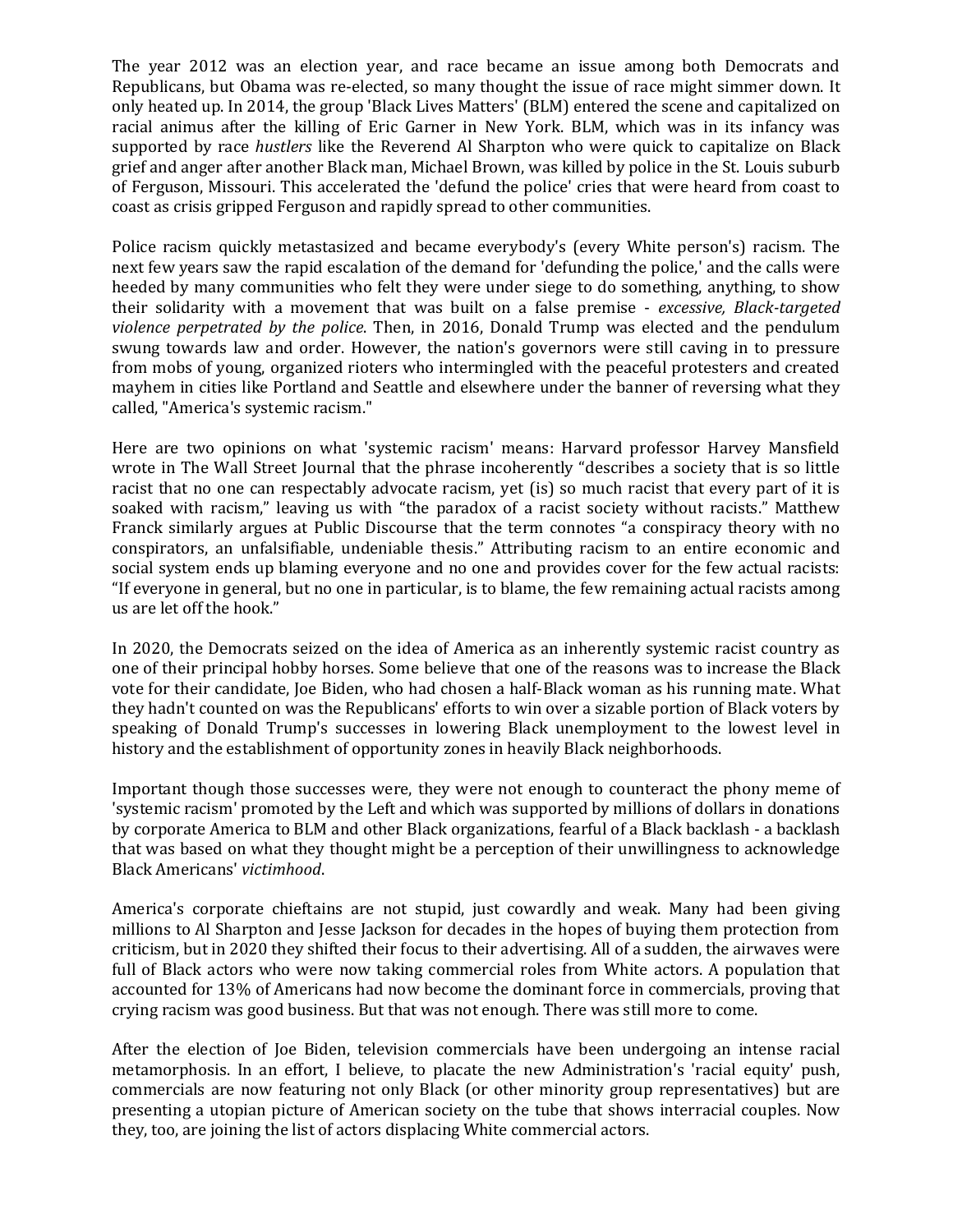The year 2012 was an election year, and race became an issue among both Democrats and Republicans, but Obama was re-elected, so many thought the issue of race might simmer down. It only heated up. In 2014, the group 'Black Lives Matters' (BLM) entered the scene and capitalized on racial animus after the killing of Eric Garner in New York. BLM, which was in its infancy was supported by race *hustlers* like the Reverend Al Sharpton who were quick to capitalize on Black grief and anger after another Black man, Michael Brown, was killed by police in the St. Louis suburb of Ferguson, Missouri. This accelerated the 'defund the police' cries that were heard from coast to coast as crisis gripped Ferguson and rapidly spread to other communities.

Police racism quickly metastasized and became everybody's (every White person's) racism. The next few years saw the rapid escalation of the demand for 'defunding the police,' and the calls were heeded by many communities who felt they were under siege to do something, anything, to show their solidarity with a movement that was built on a false premise - *excessive, Black-targeted violence perpetrated by the police*. Then, in 2016, Donald Trump was elected and the pendulum swung towards law and order. However, the nation's governors were still caving in to pressure from mobs of young, organized rioters who intermingled with the peaceful protesters and created mayhem in cities like Portland and Seattle and elsewhere under the banner of reversing what they called, "America's systemic racism."

Here are two opinions on what 'systemic racism' means: Harvard professor Harvey Mansfield wrote in The Wall Street Journal that the phrase incoherently "describes a society that is so little racist that no one can respectably advocate racism, yet (is) so much racist that every part of it is soaked with racism," leaving us with "the paradox of a racist society without racists." Matthew Franck similarly argues at Public Discourse that the term connotes "a conspiracy theory with no conspirators, an unfalsifiable, undeniable thesis." Attributing racism to an entire economic and social system ends up blaming everyone and no one and provides cover for the few actual racists: "If everyone in general, but no one in particular, is to blame, the few remaining actual racists among us are let off the hook."

In 2020, the Democrats seized on the idea of America as an inherently systemic racist country as one of their principal hobby horses. Some believe that one of the reasons was to increase the Black vote for their candidate, Joe Biden, who had chosen a half-Black woman as his running mate. What they hadn't counted on was the Republicans' efforts to win over a sizable portion of Black voters by speaking of Donald Trump's successes in lowering Black unemployment to the lowest level in history and the establishment of opportunity zones in heavily Black neighborhoods.

Important though those successes were, they were not enough to counteract the phony meme of 'systemic racism' promoted by the Left and which was supported by millions of dollars in donations by corporate America to BLM and other Black organizations, fearful of a Black backlash - a backlash that was based on what they thought might be a perception of their unwillingness to acknowledge Black Americans' *victimhood*.

America's corporate chieftains are not stupid, just cowardly and weak. Many had been giving millions to Al Sharpton and Jesse Jackson for decades in the hopes of buying them protection from criticism, but in 2020 they shifted their focus to their advertising. All of a sudden, the airwaves were full of Black actors who were now taking commercial roles from White actors. A population that accounted for 13% of Americans had now become the dominant force in commercials, proving that crying racism was good business. But that was not enough. There was still more to come.

After the election of Joe Biden, television commercials have been undergoing an intense racial metamorphosis. In an effort, I believe, to placate the new Administration's 'racial equity' push, commercials are now featuring not only Black (or other minority group representatives) but are presenting a utopian picture of American society on the tube that shows interracial couples. Now they, too, are joining the list of actors displacing White commercial actors.